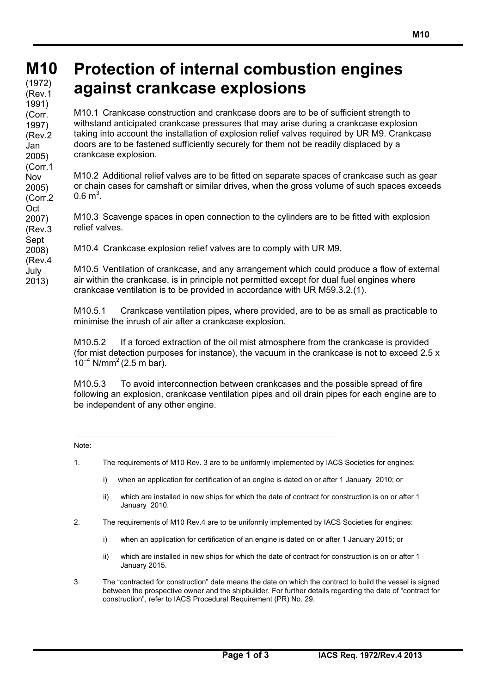## **M10 M10**

**(cont)** (1972) (Rev.1 1991) (Corr. 1997) (Rev.2 Jan 2005) (Corr.1 Nov 2005) (Corr.2 **Oct** 2007) (Rev.3 Sept 2008) (Rev.4 July

2013)

## **Protection of internal combustion engines against crankcase explosions**

M10.1 Crankcase construction and crankcase doors are to be of sufficient strength to withstand anticipated crankcase pressures that may arise during a crankcase explosion taking into account the installation of explosion relief valves required by UR M9. Crankcase doors are to be fastened sufficiently securely for them not be readily displaced by a crankcase explosion.

M10.2 Additional relief valves are to be fitted on separate spaces of crankcase such as gear or chain cases for camshaft or similar drives, when the gross volume of such spaces exceeds  $0.6 \text{ m}^3$ .

M10.3 Scavenge spaces in open connection to the cylinders are to be fitted with explosion relief valves.

M10.4 Crankcase explosion relief valves are to comply with UR M9.

M10.5 Ventilation of crankcase, and any arrangement which could produce a flow of external air within the crankcase, is in principle not permitted except for dual fuel engines where crankcase ventilation is to be provided in accordance with UR M59.3.2.(1).

M10.5.1 Crankcase ventilation pipes, where provided, are to be as small as practicable to minimise the inrush of air after a crankcase explosion.

M10.5.2 If a forced extraction of the oil mist atmosphere from the crankcase is provided (for mist detection purposes for instance), the vacuum in the crankcase is not to exceed 2.5 x  $10^{-4}$  N/mm<sup>2</sup> (2.5 m bar).

M10.5.3 To avoid interconnection between crankcases and the possible spread of fire following an explosion, crankcase ventilation pipes and oil drain pipes for each engine are to be independent of any other engine.

## Note:

- 1. The requirements of M10 Rev. 3 are to be uniformly implemented by IACS Societies for engines:
	- i) when an application for certification of an engine is dated on or after 1 January 2010; or
	- ii) which are installed in new ships for which the date of contract for construction is on or after 1 January 2010.
- 2. The requirements of M10 Rev.4 are to be uniformly implemented by IACS Societies for engines:
	- i) when an application for certification of an engine is dated on or after 1 January 2015; or
	- ii) which are installed in new ships for which the date of contract for construction is on or after 1 January 2015.
- 3. The "contracted for construction" date means the date on which the contract to build the vessel is signed between the prospective owner and the shipbuilder. For further details regarding the date of "contract for construction", refer to IACS Procedural Requirement (PR) No. 29.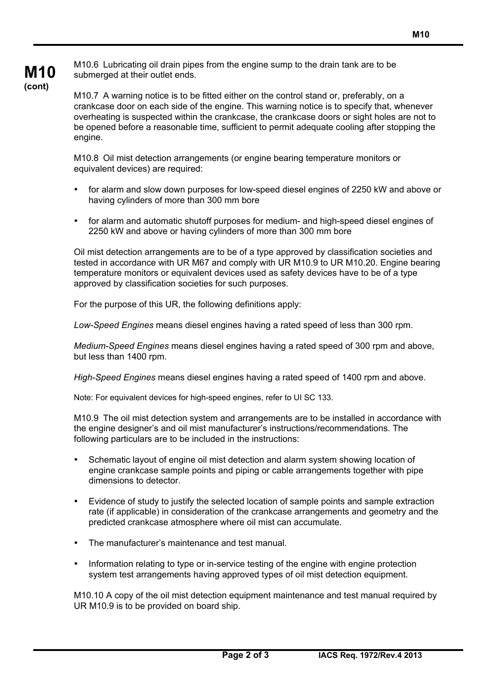

M10.6 Lubricating oil drain pipes from the engine sump to the drain tank are to be submerged at their outlet ends.

M10.7 A warning notice is to be fitted either on the control stand or, preferably, on a crankcase door on each side of the engine. This warning notice is to specify that, whenever overheating is suspected within the crankcase, the crankcase doors or sight holes are not to be opened before a reasonable time, sufficient to permit adequate cooling after stopping the engine.

M10.8 Oil mist detection arrangements (or engine bearing temperature monitors or equivalent devices) are required:

- for alarm and slow down purposes for low-speed diesel engines of 2250 kW and above or having cylinders of more than 300 mm bore
- for alarm and automatic shutoff purposes for medium- and high-speed diesel engines of 2250 kW and above or having cylinders of more than 300 mm bore

Oil mist detection arrangements are to be of a type approved by classification societies and tested in accordance with UR M67 and comply with UR M10.9 to UR M10.20. Engine bearing temperature monitors or equivalent devices used as safety devices have to be of a type approved by classification societies for such purposes.

For the purpose of this UR, the following definitions apply:

*Low-Speed Engines* means diesel engines having a rated speed of less than 300 rpm.

*Medium-Speed Engines* means diesel engines having a rated speed of 300 rpm and above, but less than 1400 rpm.

*High-Speed Engines* means diesel engines having a rated speed of 1400 rpm and above.

Note: For equivalent devices for high-speed engines, refer to UI SC 133.

M10.9 The oil mist detection system and arrangements are to be installed in accordance with the engine designer's and oil mist manufacturer's instructions/recommendations. The following particulars are to be included in the instructions:

- Schematic layout of engine oil mist detection and alarm system showing location of engine crankcase sample points and piping or cable arrangements together with pipe dimensions to detector.
- Evidence of study to justify the selected location of sample points and sample extraction rate (if applicable) in consideration of the crankcase arrangements and geometry and the predicted crankcase atmosphere where oil mist can accumulate.
- The manufacturer's maintenance and test manual.
- Information relating to type or in-service testing of the engine with engine protection system test arrangements having approved types of oil mist detection equipment.

M10.10 A copy of the oil mist detection equipment maintenance and test manual required by UR M10.9 is to be provided on board ship.